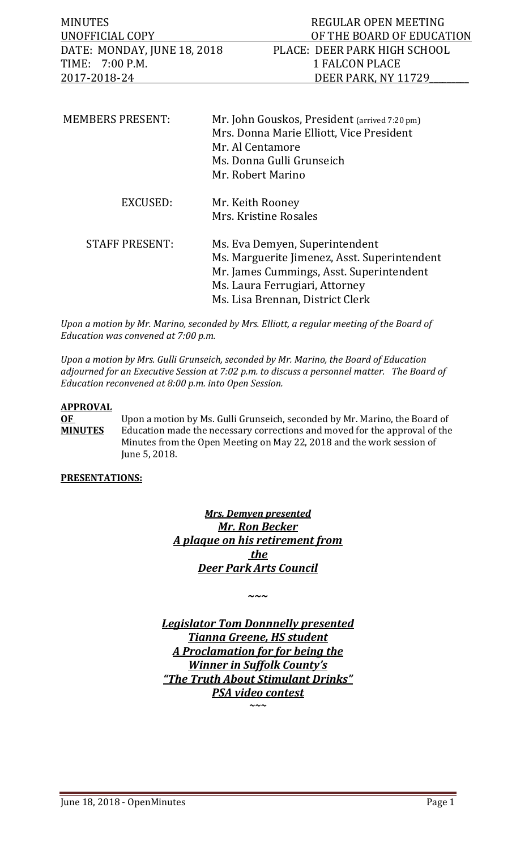| <b>MINUTES</b>              | REGULAR OPEN MEETING         |
|-----------------------------|------------------------------|
| UNOFFICIAL COPY             | OF THE BOARD OF EDUCATION    |
| DATE: MONDAY, JUNE 18, 2018 | PLACE: DEER PARK HIGH SCHOOL |
| TIME: 7:00 P.M.             | 1 FALCON PLACE               |
| 2017-2018-24                | DEER PARK. NY 11729          |
|                             |                              |

| <b>MEMBERS PRESENT:</b> | Mr. John Gouskos, President (arrived 7:20 pm)<br>Mrs. Donna Marie Elliott, Vice President<br>Mr. Al Centamore<br>Ms. Donna Gulli Grunseich<br>Mr. Robert Marino                                  |
|-------------------------|--------------------------------------------------------------------------------------------------------------------------------------------------------------------------------------------------|
| EXCUSED:                | Mr. Keith Rooney<br>Mrs. Kristine Rosales                                                                                                                                                        |
| <b>STAFF PRESENT:</b>   | Ms. Eva Demyen, Superintendent<br>Ms. Marguerite Jimenez, Asst. Superintendent<br>Mr. James Cummings, Asst. Superintendent<br>Ms. Laura Ferrugiari, Attorney<br>Ms. Lisa Brennan, District Clerk |

*Upon a motion by Mr. Marino, seconded by Mrs. Elliott, a regular meeting of the Board of Education was convened at 7:00 p.m.*

*Upon a motion by Mrs. Gulli Grunseich, seconded by Mr. Marino, the Board of Education adjourned for an Executive Session at 7:02 p.m. to discuss a personnel matter. The Board of Education reconvened at 8:00 p.m. into Open Session.* 

#### **APPROVAL**

**OF** Upon a motion by Ms. Gulli Grunseich, seconded by Mr. Marino, the Board of **MINUTES** Education made the necessary corrections and moved for the approval of the Education made the necessary corrections and moved for the approval of the Minutes from the Open Meeting on May 22, 2018 and the work session of June 5, 2018.

#### **PRESENTATIONS:**

*Mrs. Demyen presented Mr. Ron Becker A plaque on his retirement from the Deer Park Arts Council*

*~~~*

*Legislator Tom Donnnelly presented Tianna Greene, HS student A Proclamation for for being the Winner in Suffolk County's "The Truth About Stimulant Drinks" PSA video contest*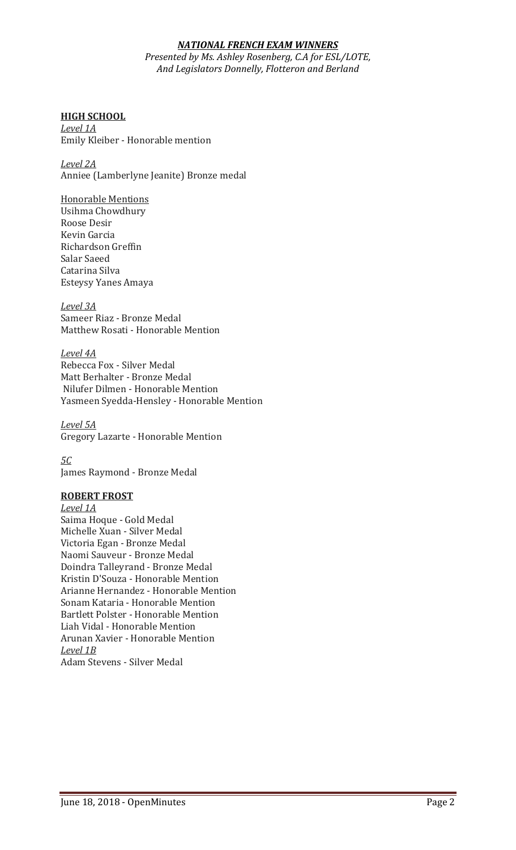#### *NATIONAL FRENCH EXAM WINNERS*

*Presented by Ms. Ashley Rosenberg, C.A for ESL/LOTE, And Legislators Donnelly, Flotteron and Berland*

#### **HIGH SCHOOL**

*Level 1A* Emily Kleiber - Honorable mention

*Level 2A* Anniee (Lamberlyne Jeanite) Bronze medal

#### Honorable Mentions

Usihma Chowdhury Roose Desir Kevin Garcia Richardson Greffin Salar Saeed Catarina Silva Esteysy Yanes Amaya

*Level 3A* Sameer Riaz - Bronze Medal Matthew Rosati - Honorable Mention

*Level 4A* Rebecca Fox - Silver Medal Matt Berhalter - Bronze Medal Nilufer Dilmen - Honorable Mention Yasmeen Syedda-Hensley - Honorable Mention

*Level 5A* Gregory Lazarte - Honorable Mention

*5C* James Raymond - Bronze Medal

#### **ROBERT FROST**

*Level 1A* Saima Hoque - Gold Medal Michelle Xuan - Silver Medal Victoria Egan - Bronze Medal Naomi Sauveur - Bronze Medal Doindra Talleyrand - Bronze Medal Kristin D'Souza - Honorable Mention Arianne Hernandez - Honorable Mention Sonam Kataria - Honorable Mention Bartlett Polster - Honorable Mention Liah Vidal - Honorable Mention Arunan Xavier - Honorable Mention *Level 1B* Adam Stevens - Silver Medal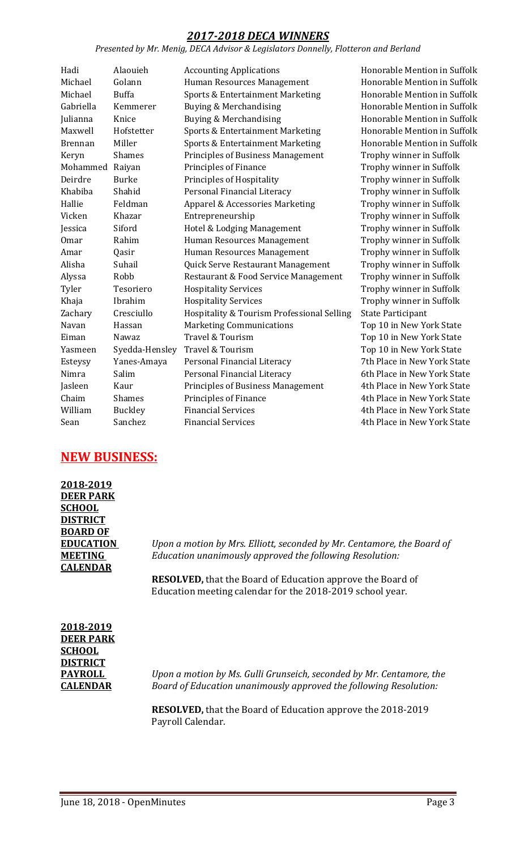# *2017-2018 DECA WINNERS*

#### *Presented by Mr. Menig, DECA Advisor & Legislators Donnelly, Flotteron and Berland*

| Hadi           | Alaouieh       | <b>Accounting Applications</b>             | Ho  |
|----------------|----------------|--------------------------------------------|-----|
| Michael        | Golann         | Human Resources Management                 | Ho  |
| Michael        | <b>Buffa</b>   | Sports & Entertainment Marketing           | Ho  |
| Gabriella      | Kemmerer       | Buying & Merchandising                     | Ho  |
| Julianna       | Knice          | Buying & Merchandising                     | Ho  |
| Maxwell        | Hofstetter     | Sports & Entertainment Marketing           | Ho  |
| <b>Brennan</b> | Miller         | Sports & Entertainment Marketing           | Ho  |
| Keryn          | Shames         | <b>Principles of Business Management</b>   | Tr  |
| Mohammed       | Raiyan         | Principles of Finance                      | Tr  |
| Deirdre        | <b>Burke</b>   | Principles of Hospitality                  | Tr  |
| Khabiba        | Shahid         | Personal Financial Literacy                | Tr  |
| Hallie         | Feldman        | Apparel & Accessories Marketing            | Tr  |
| Vicken         | Khazar         | Entrepreneurship                           | Tr  |
| Jessica        | Siford         | Hotel & Lodging Management                 | Tr  |
| <b>Omar</b>    | Rahim          | Human Resources Management                 | Tr  |
| Amar           | Qasir          | Human Resources Management                 | Tr  |
| Alisha         | Suhail         | Quick Serve Restaurant Management          | Tr  |
| Alyssa         | Robb           | Restaurant & Food Service Management       | Tr  |
| Tyler          | Tesoriero      | <b>Hospitality Services</b>                | Tr  |
| Khaja          | Ibrahim        | <b>Hospitality Services</b>                | Tr  |
| Zachary        | Cresciullo     | Hospitality & Tourism Professional Selling | Sta |
| Navan          | Hassan         | <b>Marketing Communications</b>            | To  |
| Eiman          | Nawaz          | Travel & Tourism                           | To  |
| Yasmeen        | Syedda-Hensley | Travel & Tourism                           | To  |
| Esteysy        | Yanes-Amaya    | Personal Financial Literacy                | 7tl |
| Nimra          | Salim          | Personal Financial Literacy                | 6tl |
| Jasleen        | Kaur           | <b>Principles of Business Management</b>   | 4tl |
| Chaim          | <b>Shames</b>  | Principles of Finance                      | 4tl |
| William        | <b>Buckley</b> | <b>Financial Services</b>                  | 4tl |
| Sean           | Sanchez        | <b>Financial Services</b>                  | 4tl |
|                |                |                                            |     |

morable Mention in Suffolk morable Mention in Suffolk morable Mention in Suffolk norable Mention in Suffolk Inorable Mention in Suffolk morable Mention in Suffolk morable Mention in Suffolk ophy winner in Suffolk ophy winner in Suffolk ophy winner in Suffolk ophy winner in Suffolk ophy winner in Suffolk ophy winner in Suffolk ophy winner in Suffolk ophy winner in Suffolk ophy winner in Suffolk ophy winner in Suffolk ophy winner in Suffolk ophy winner in Suffolk ophy winner in Suffolk ate Participant p 10 in New York State p 10 in New York State p 10 in New York State h Place in New York State h Place in New York State h Place in New York State h Place in New York State h Place in New York State h Place in New York State

# **NEW BUSINESS:**

| 2018-2019        |    |
|------------------|----|
| <b>DEER PARK</b> |    |
| <b>SCHOOL</b>    |    |
| <b>DISTRICT</b>  |    |
| <b>BOARD OF</b>  |    |
| <b>EDUCATION</b> | Uŗ |
| <b>MEETING</b>   | Eo |
| <b>CALENDAR</b>  |    |
|                  |    |

**EDUCATION** *Upon a motion by Mrs. Elliott, seconded by Mr. Centamore, the Board of*  **MEETING** *Education unanimously approved the following Resolution:*

**RESOLVED,** that the Board of Education approve the Board of Education meeting calendar for the 2018-2019 school year.

**2018-2019 DEER PARK SCHOOL DISTRICT** 

**PAYROLL** *Upon a motion by Ms. Gulli Grunseich, seconded by Mr. Centamore, the*  **CALENDAR** *Board of Education unanimously approved the following Resolution:*

> **RESOLVED,** that the Board of Education approve the 2018-2019 Payroll Calendar.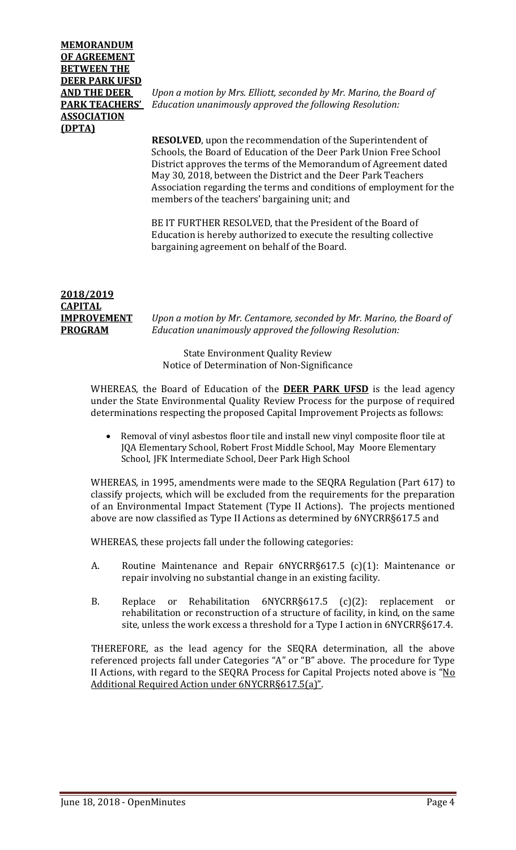# **MEMORANDUM OF AGREEMENT BETWEEN THE DEER PARK UFSD ASSOCIATION (DPTA)**

**AND THE DEER** *Upon a motion by Mrs. Elliott, seconded by Mr. Marino, the Board of*  **PARK TEACHERS'** *Education unanimously approved the following Resolution:*

> **RESOLVED**, upon the recommendation of the Superintendent of Schools, the Board of Education of the Deer Park Union Free School District approves the terms of the Memorandum of Agreement dated May 30, 2018, between the District and the Deer Park Teachers Association regarding the terms and conditions of employment for the members of the teachers' bargaining unit; and

BE IT FURTHER RESOLVED, that the President of the Board of Education is hereby authorized to execute the resulting collective bargaining agreement on behalf of the Board.

#### **2018/2019 CAPITAL IMPROVEMENT** *Upon a motion by Mr. Centamore, seconded by Mr. Marino, the Board of*  **PROGRAM** *Education unanimously approved the following Resolution:*

State Environment Quality Review Notice of Determination of Non-Significance

WHEREAS, the Board of Education of the **DEER PARK UFSD** is the lead agency under the State Environmental Quality Review Process for the purpose of required determinations respecting the proposed Capital Improvement Projects as follows:

• Removal of vinyl asbestos floor tile and install new vinyl composite floor tile at JQA Elementary School, Robert Frost Middle School, May Moore Elementary School, JFK Intermediate School, Deer Park High School

WHEREAS, in 1995, amendments were made to the SEQRA Regulation (Part 617) to classify projects, which will be excluded from the requirements for the preparation of an Environmental Impact Statement (Type II Actions). The projects mentioned above are now classified as Type II Actions as determined by 6NYCRR§617.5 and

WHEREAS, these projects fall under the following categories:

- A. Routine Maintenance and Repair 6NYCRR§617.5 (c)(1): Maintenance or repair involving no substantial change in an existing facility.
- B. Replace or Rehabilitation 6NYCRR§617.5 (c)(2): replacement or rehabilitation or reconstruction of a structure of facility, in kind, on the same site, unless the work excess a threshold for a Type I action in 6NYCRR§617.4.

THEREFORE, as the lead agency for the SEQRA determination, all the above referenced projects fall under Categories "A" or "B" above. The procedure for Type II Actions, with regard to the SEQRA Process for Capital Projects noted above is "No Additional Required Action under 6NYCRR§617.5(a)".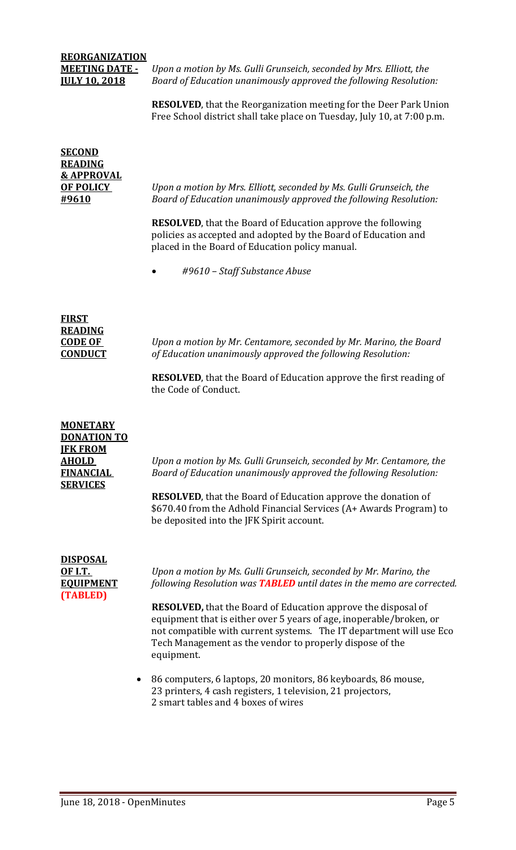# **REORGANIZATION**

**MEETING DATE -** *Upon a motion by Ms. Gulli Grunseich, seconded by Mrs. Elliott, the*  Board of Education unanimously approved the following Resolution:

> **RESOLVED**, that the Reorganization meeting for the Deer Park Union Free School district shall take place on Tuesday, July 10, at 7:00 p.m.

| <u>SECOND</u>         |                                                                                                                                                                                          |
|-----------------------|------------------------------------------------------------------------------------------------------------------------------------------------------------------------------------------|
| <u>READING</u>        |                                                                                                                                                                                          |
| <b>&amp; APPROVAL</b> |                                                                                                                                                                                          |
| <b>OF POLICY</b>      | Upon a motion by Mrs. Elliott, seconded by Ms. Gulli Grunseich, the                                                                                                                      |
| <u>#9610</u>          | Board of Education unanimously approved the following Resolution:                                                                                                                        |
|                       | <b>RESOLVED</b> , that the Board of Education approve the following<br>policies as accepted and adopted by the Board of Education and<br>placed in the Board of Education policy manual. |
|                       | #9610 - Staff Substance Abuse                                                                                                                                                            |
|                       |                                                                                                                                                                                          |
| <u>FIRST</u>          |                                                                                                                                                                                          |
| READING               |                                                                                                                                                                                          |
| CODE OF<br>CONDUCT    | Upon a motion by Mr. Centamore, seconded by Mr. Marino, the Board<br>of Education unanimously approved the following Resolution:                                                         |
|                       | <b>RESOLVED</b> , that the Board of Education approve the first reading of<br>the Code of Conduct.                                                                                       |

| <b>MONETARY</b><br><b>DONATION TO</b><br><b>IFK FROM</b> |                                                                                                                                                                                                                                                                                              |
|----------------------------------------------------------|----------------------------------------------------------------------------------------------------------------------------------------------------------------------------------------------------------------------------------------------------------------------------------------------|
| <b>AHOLD</b>                                             | Upon a motion by Ms. Gulli Grunseich, seconded by Mr. Centamore, the                                                                                                                                                                                                                         |
| <b>FINANCIAL</b><br><b>SERVICES</b>                      | Board of Education unanimously approved the following Resolution:                                                                                                                                                                                                                            |
|                                                          | <b>RESOLVED</b> , that the Board of Education approve the donation of<br>\$670.40 from the Adhold Financial Services (A+ Awards Program) to<br>be deposited into the JFK Spirit account.                                                                                                     |
| <b>DISPOSAL</b><br><b>OF I.T.</b><br><b>EOUIPMENT</b>    | Upon a motion by Ms. Gulli Grunseich, seconded by Mr. Marino, the<br>following Resolution was <b>TABLED</b> until dates in the memo are corrected.                                                                                                                                           |
| (TABLED)                                                 | <b>RESOLVED, that the Board of Education approve the disposal of</b><br>equipment that is either over 5 years of age, inoperable/broken, or<br>not compatible with current systems. The IT department will use Eco<br>Tech Management as the vendor to properly dispose of the<br>equipment. |
|                                                          |                                                                                                                                                                                                                                                                                              |

• 86 computers, 6 laptops, 20 monitors, 86 keyboards, 86 mouse, 23 printers, 4 cash registers, 1 television, 21 projectors, 2 smart tables and 4 boxes of wires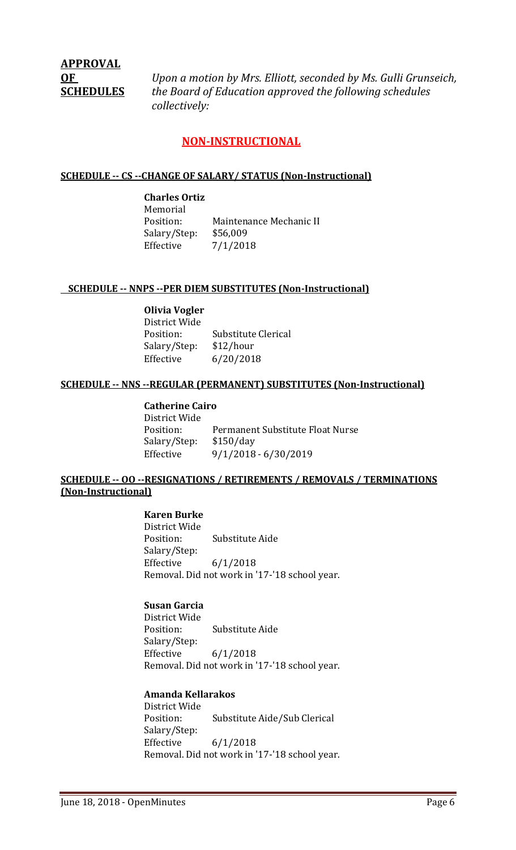# **APPROVAL**

**OF** *Upon a motion by Mrs. Elliott, seconded by Ms. Gulli Grunseich,* **SCHEDULES** *the Board of Education approved the following schedules collectively:*

# **NON-INSTRUCTIONAL**

#### **SCHEDULE -- CS --CHANGE OF SALARY/ STATUS (Non-Instructional)**

**Charles Ortiz** Memorial<br>Position: Maintenance Mechanic II<br>\$56,009 Salary/Step:<br>Effective  $7/1/2018$ 

#### **SCHEDULE -- NNPS --PER DIEM SUBSTITUTES (Non-Instructional)**

#### **Olivia Vogler**

District Wide Substitute Clerical<br>\$12/hour Salary/Step: Effective 6/20/2018

#### **SCHEDULE -- NNS --REGULAR (PERMANENT) SUBSTITUTES (Non-Instructional)**

**Catherine Cairo** District Wide Permanent Substitute Float Nurse<br>\$150/day Salary/Step:<br>Effective Effective 9/1/2018 - 6/30/2019

#### **SCHEDULE -- OO --RESIGNATIONS / RETIREMENTS / REMOVALS / TERMINATIONS (Non-Instructional)**

### **Karen Burke**

District Wide Substitute Aide Salary/Step:<br>Effective  $6/1/2018$ Removal. Did not work in '17-'18 school year.

# **Susan Garcia**

District Wide Substitute Aide Salary/Step:<br>Effective  $6/1/2018$ Removal. Did not work in '17-'18 school year.

#### **Amanda Kellarakos**

District Wide Substitute Aide/Sub Clerical Salary/Step: Effective 6/1/2018 Removal. Did not work in '17-'18 school year.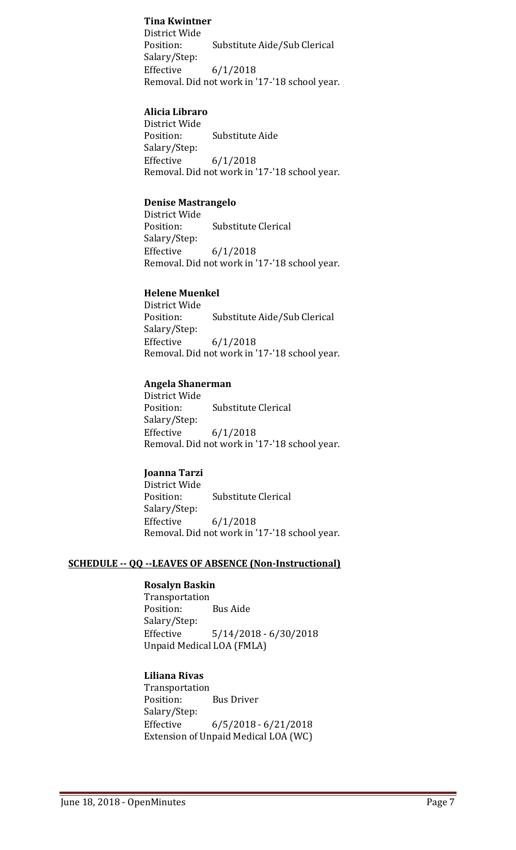#### **Tina Kwintner**

District Wide Substitute Aide/Sub Clerical Salary/Step: Effective 6/1/2018 Removal. Did not work in '17-'18 school year.

#### **Alicia Libraro**

District Wide<br>Position: Substitute Aide Salary/Step: Effective 6/1/2018 Removal. Did not work in '17-'18 school year.

#### **Denise Mastrangelo**

District Wide<br>Position: Substitute Clerical Salary/Step:<br>Effective  $6/1/2018$ Removal. Did not work in '17-'18 school year.

#### **Helene Muenkel**

District Wide Substitute Aide/Sub Clerical Salary/Step: Effective 6/1/2018 Removal. Did not work in '17-'18 school year.

#### **Angela Shanerman**

District Wide<br>Position: **Substitute Clerical** Salary/Step: Effective 6/1/2018 Removal. Did not work in '17-'18 school year.

#### **Joanna Tarzi**

District Wide<br>Position: Substitute Clerical Salary/Step:  $6/1/2018$ Removal. Did not work in '17-'18 school year.

#### **SCHEDULE -- QQ --LEAVES OF ABSENCE (Non-Instructional)**

# **Rosalyn Baskin**

Transportation<br>Position: **Bus Aide** Salary/Step:  $5/14/2018 - 6/30/2018$ Unpaid Medical LOA (FMLA)

#### **Liliana Rivas**

Transportation **Bus Driver** Salary/Step: Effective 6/5/2018 - 6/21/2018 Extension of Unpaid Medical LOA (WC)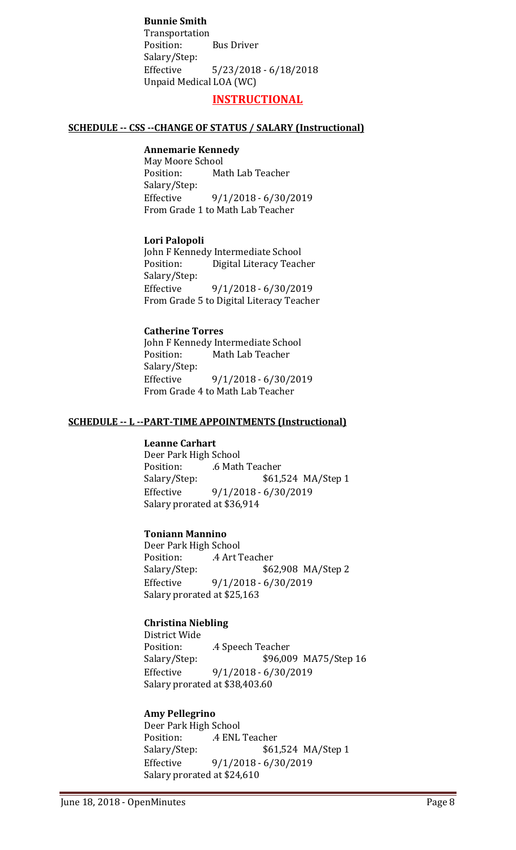**Bunnie Smith** Transportation **Bus Driver** Salary/Step:<br>Effective  $5/23/2018 - 6/18/2018$ Unpaid Medical LOA (WC)

#### **INSTRUCTIONAL**

#### **SCHEDULE -- CSS --CHANGE OF STATUS / SALARY (Instructional)**

#### **Annemarie Kennedy**

May Moore School<br>Position: Ma Math Lab Teacher Salary/Step:<br>Effective Effective 9/1/2018 - 6/30/2019 From Grade 1 to Math Lab Teacher

#### **Lori Palopoli**

John F Kennedy Intermediate School<br>Position: Digital Literacy Teacl Digital Literacy Teacher Salary/Step: Effective 9/1/2018 - 6/30/2019 From Grade 5 to Digital Literacy Teacher

#### **Catherine Torres**

John F Kennedy Intermediate School<br>Position: Math Lab Teacher Math Lab Teacher Salary/Step:<br>Effective Effective 9/1/2018 - 6/30/2019 From Grade 4 to Math Lab Teacher

#### **SCHEDULE -- L --PART-TIME APPOINTMENTS (Instructional)**

#### **Leanne Carhart**

Deer Park High School Position: .6 Math Teacher Salary/Step: \$61,524 MA/Step 1<br>Effective 9/1/2018 - 6/30/2019 Effective 9/1/2018 - 6/30/2019 Salary prorated at \$36,914

### **Toniann Mannino**

Deer Park High School<br>Position: ... 4 Art 7 Position: .4 Art Teacher<br>Salary/Step: \$6. Salary/Step: \$62,908 MA/Step 2<br>Effective 9/1/2018 - 6/30/2019 Effective 9/1/2018 - 6/30/2019 Salary prorated at \$25,163

#### **Christina Niebling**

District Wide Position: .4 Speech Teacher<br>Salary/Step: \$96,00 \$96,009 MA75/Step 16 Effective 9/1/2018 - 6/30/2019 Salary prorated at \$38,403.60

#### **Amy Pellegrino**

Deer Park High School Position: .4 ENL Teacher<br>Salary/Step: \$61 \$61,524 MA/Step 1 Effective 9/1/2018 - 6/30/2019 Salary prorated at \$24,610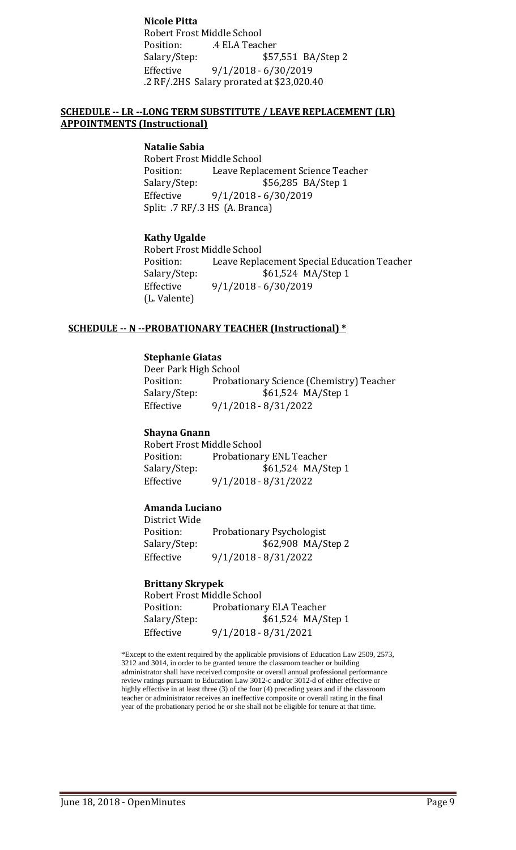**Nicole Pitta** Robert Frost Middle School Position: .4 ELA Teacher \$57,551 BA/Step 2 Effective 9/1/2018 - 6/30/2019 .2 RF/.2HS Salary prorated at \$23,020.40

#### **SCHEDULE -- LR --LONG TERM SUBSTITUTE / LEAVE REPLACEMENT (LR) APPOINTMENTS (Instructional)**

#### **Natalie Sabia**

Robert Frost Middle School<br>Position: Leave Repla Position: Leave Replacement Science Teacher<br>Salary/Step: \$56,285 BA/Step 1 \$56,285 BA/Step 1 Effective 9/1/2018 - 6/30/2019 Split: .7 RF/.3 HS (A. Branca)

#### **Kathy Ugalde**

Robert Frost Middle School<br>Position: Leave Repla Position: Leave Replacement Special Education Teacher<br>Salary/Step: \$61,524 MA/Step 1 \$61,524 MA/Step 1 Effective 9/1/2018 - 6/30/2019 (L. Valente)

#### **SCHEDULE -- N --PROBATIONARY TEACHER (Instructional) \***

#### **Stephanie Giatas**

Deer Park High School<br>Position: Probat Probationary Science (Chemistry) Teacher Salary/Step: \$61,524 MA/Step 1 Effective 9/1/2018 - 8/31/2022

#### **Shayna Gnann**

Robert Frost Middle School<br>Position: Probationar Position: Probationary ENL Teacher<br>Salary/Step: \$61,524 MA/S \$61,524 MA/Step 1 Effective 9/1/2018 - 8/31/2022

#### **Amanda Luciano**

District Wide Position: Probationary Psychologist<br>Salary/Step: \$62,908 MA/S Salary/Step: \$62,908 MA/Step 2<br>Effective 9/1/2018 - 8/31/2022 Effective 9/1/2018 - 8/31/2022

#### **Brittany Skrypek**

| Robert Frost Middle School |                          |  |  |
|----------------------------|--------------------------|--|--|
| Position:                  | Probationary ELA Teacher |  |  |
| Salary/Step:               | \$61,524 MA/Step 1       |  |  |
| Effective                  | $9/1/2018 - 8/31/2021$   |  |  |

\*Except to the extent required by the applicable provisions of Education Law 2509, 2573, 3212 and 3014, in order to be granted tenure the classroom teacher or building administrator shall have received composite or overall annual professional performance review ratings pursuant to Education Law 3012-c and/or 3012-d of either effective or highly effective in at least three (3) of the four (4) preceding years and if the classroom teacher or administrator receives an ineffective composite or overall rating in the final year of the probationary period he or she shall not be eligible for tenure at that time.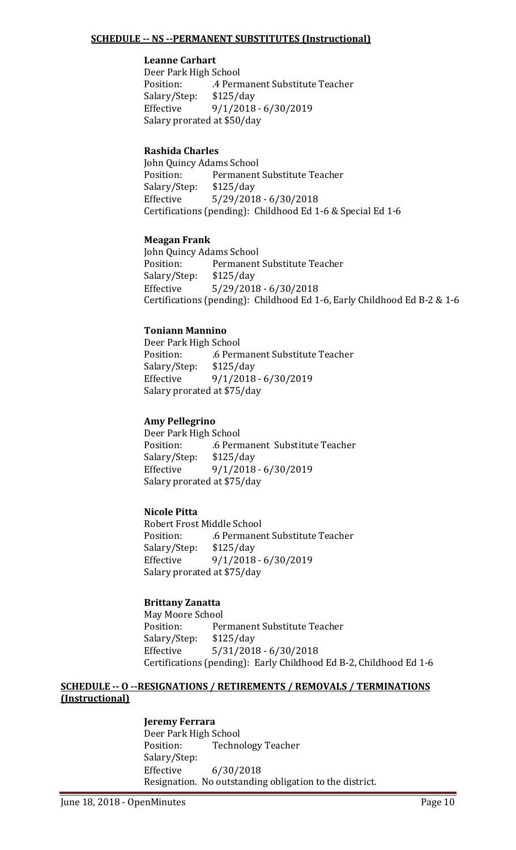#### **SCHEDULE -- NS --PERMANENT SUBSTITUTES (Instructional)**

#### **Leanne Carhart**

Deer Park High School<br>Position: 4 Pern .4 Permanent Substitute Teacher<br>\$125/day Salary/Step:<br>Effective Effective 9/1/2018 - 6/30/2019 Salary prorated at \$50/day

#### **Rashida Charles**

John Quincy Adams School<br>Position: Permanent Permanent Substitute Teacher<br>\$125/day Salary/Step: Effective 5/29/2018 - 6/30/2018 Certifications (pending): Childhood Ed 1-6 & Special Ed 1-6

#### **Meagan Frank**

John Quincy Adams School Permanent Substitute Teacher<br>\$125/day Salary/Step:<br>Effective  $5/29/2018 - 6/30/2018$ Certifications (pending): Childhood Ed 1-6, Early Childhood Ed B-2 & 1-6

#### **Toniann Mannino**

Deer Park High School .6 Permanent Substitute Teacher<br>\$125/day Salary/Step: Effective 9/1/2018 - 6/30/2019 Salary prorated at \$75/day

#### **Amy Pellegrino**

Deer Park High School .6 Permanent Substitute Teacher<br>\$125/day Salary/Step: Effective 9/1/2018 - 6/30/2019 Salary prorated at \$75/day

#### **Nicole Pitta**

Robert Frost Middle School .6 Permanent Substitute Teacher<br>\$125/day Salary/Step:<br>Effective Effective 9/1/2018 - 6/30/2019 Salary prorated at \$75/day

#### **Brittany Zanatta**

May Moore School<br>Position: Per Permanent Substitute Teacher<br>\$125/day Salary/Step: Effective 5/31/2018 - 6/30/2018 Certifications (pending): Early Childhood Ed B-2, Childhood Ed 1-6

#### **SCHEDULE -- O --RESIGNATIONS / RETIREMENTS / REMOVALS / TERMINATIONS (Instructional)**

#### **Jeremy Ferrara**

Deer Park High School<br>Position: Techno Technology Teacher Salary/Step: Effective 6/30/2018 Resignation. No outstanding obligation to the district.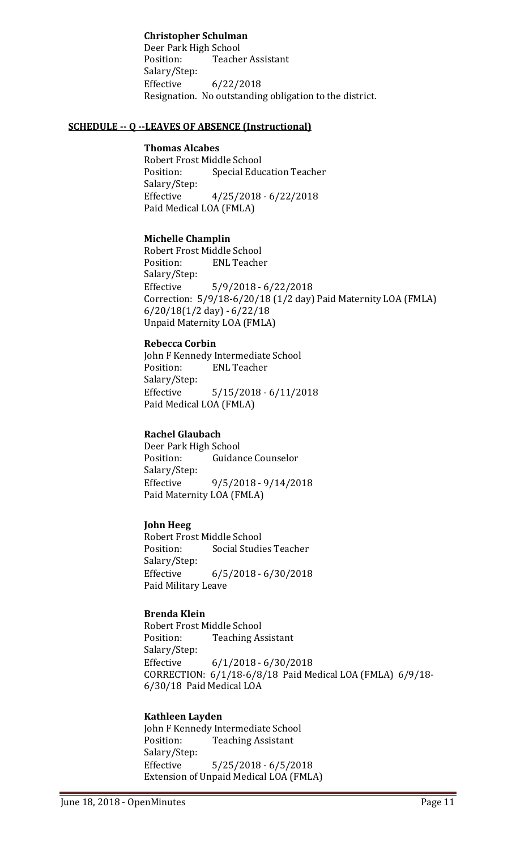#### **Christopher Schulman**

Deer Park High School **Teacher Assistant** Salary/Step:  $6/22/2018$ Resignation. No outstanding obligation to the district.

#### **SCHEDULE -- Q --LEAVES OF ABSENCE (Instructional)**

#### **Thomas Alcabes**

Robert Frost Middle School<br>Position: Special Edue **Special Education Teacher** Salary/Step:<br>Effective  $4/25/2018 - 6/22/2018$ Paid Medical LOA (FMLA)

#### **Michelle Champlin**

Robert Frost Middle School<br>Position: ENL Teache **ENL Teacher** Salary/Step:  $5/9/2018 - 6/22/2018$ Correction: 5/9/18-6/20/18 (1/2 day) Paid Maternity LOA (FMLA) 6/20/18(1/2 day) - 6/22/18 Unpaid Maternity LOA (FMLA)

#### **Rebecca Corbin**

John F Kennedy Intermediate School<br>Position: ENL Teacher **ENL Teacher** Salary/Step:<br>Effective  $5/15/2018 - 6/11/2018$ Paid Medical LOA (FMLA)

#### **Rachel Glaubach**

Deer Park High School<br>Position: Guidan Guidance Counselor Salary/Step: Effective 9/5/2018 - 9/14/2018 Paid Maternity LOA (FMLA)

#### **John Heeg**

Robert Frost Middle School **Social Studies Teacher** Salary/Step:<br>Effective  $6/5/2018 - 6/30/2018$ Paid Military Leave

#### **Brenda Klein**

Robert Frost Middle School<br>Position: Teaching As **Teaching Assistant** Salary/Step: Effective 6/1/2018 - 6/30/2018 CORRECTION: 6/1/18-6/8/18 Paid Medical LOA (FMLA) 6/9/18- 6/30/18 Paid Medical LOA

#### **Kathleen Layden**

John F Kennedy Intermediate School<br>Position: Teaching Assistant **Teaching Assistant** Salary/Step:<br>Effective  $5/25/2018 - 6/5/2018$ Extension of Unpaid Medical LOA (FMLA)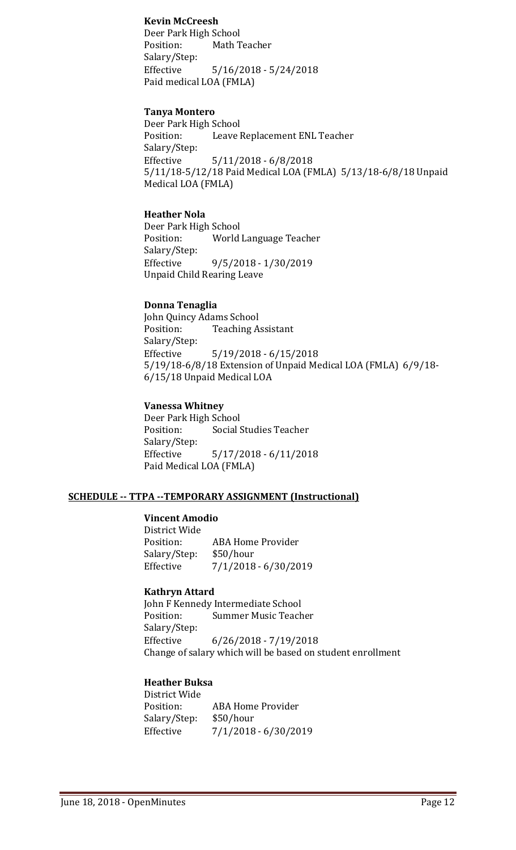#### **Kevin McCreesh**

Deer Park High School<br>Position: Math T Math Teacher Salary/Step: Effective 5/16/2018 - 5/24/2018 Paid medical LOA (FMLA)

#### **Tanya Montero**

Deer Park High School<br>Position: Leave l Leave Replacement ENL Teacher Salary/Step: Effective 5/11/2018 - 6/8/2018 5/11/18-5/12/18 Paid Medical LOA (FMLA) 5/13/18-6/8/18 Unpaid Medical LOA (FMLA)

#### **Heather Nola**

Deer Park High School<br>Position: World World Language Teacher Salary/Step:<br>Effective Effective 9/5/2018 - 1/30/2019 Unpaid Child Rearing Leave

#### **Donna Tenaglia**

John Quincy Adams School **Teaching Assistant** Salary/Step:<br>Effective  $5/19/2018 - 6/15/2018$ 5/19/18-6/8/18 Extension of Unpaid Medical LOA (FMLA) 6/9/18- 6/15/18 Unpaid Medical LOA

#### **Vanessa Whitney**

Deer Park High School<br>Position: Social S **Social Studies Teacher** Salary/Step:<br>Effective  $5/17/2018 - 6/11/2018$ Paid Medical LOA (FMLA)

#### **SCHEDULE -- TTPA --TEMPORARY ASSIGNMENT (Instructional)**

#### **Vincent Amodio**

District Wide ABA Home Provider<br>\$50/hour Salary/Step:<br>Effective Effective 7/1/2018 - 6/30/2019

#### **Kathryn Attard**

John F Kennedy Intermediate School<br>Position: Summer Music Teach **Summer Music Teacher** Salary/Step:<br>Effective  $6/26/2018 - 7/19/2018$ Change of salary which will be based on student enrollment

#### **Heather Buksa**

District Wide ABA Home Provider<br>\$50/hour Salary/Step:<br>Effective Effective 7/1/2018 - 6/30/2019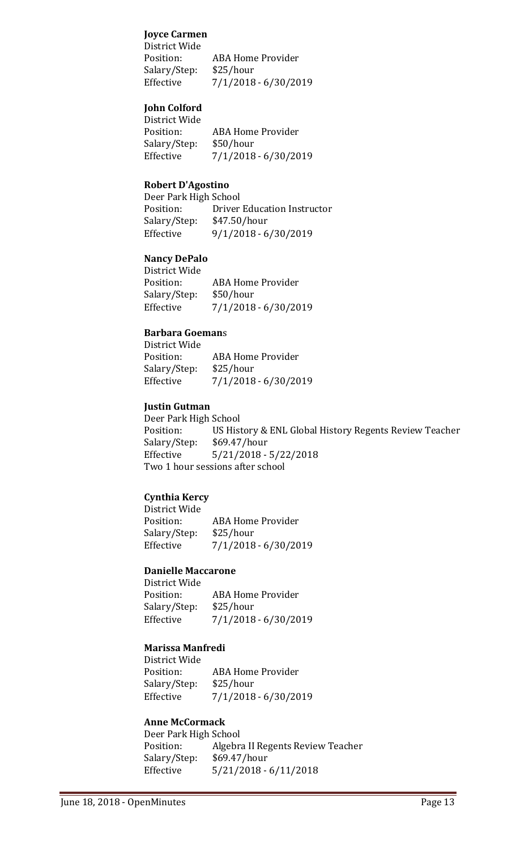#### **Joyce Carmen**

District Wide **ABA Home Provider** Salary/Step: \$25/hour Effective 7/1/2018 - 6/30/2019

# **John Colford**

District Wide ABA Home Provider<br>\$50/hour Salary/Step:<br>Effective Effective 7/1/2018 - 6/30/2019

#### **Robert D'Agostino**

Deer Park High School<br>Position: Driver Position: Driver Education Instructor<br>Salary/Step: \$47.50/hour Salary/Step: \$47.50/hour<br>Effective 9/1/2018 - 6 Effective 9/1/2018 - 6/30/2019

#### **Nancy DePalo**

District Wide ABA Home Provider<br>\$50/hour Salary/Step:<br>Effective  $7/1/2018 - 6/30/2019$ 

# **Barbara Goeman**s

| District Wide |                          |
|---------------|--------------------------|
| Position:     | <b>ABA Home Provider</b> |
| Salary/Step:  | \$25/hour                |
| Effective     | 7/1/2018 - 6/30/2019     |
|               |                          |

#### **Justin Gutman**

Deer Park High School Position: US History & ENL Global History Regents Review Teacher<br>Salary/Step: \$69.47/hour  $$69.47/hour$ Effective 5/21/2018 - 5/22/2018 Two 1 hour sessions after school

#### **Cynthia Kercy**

District Wide ABA Home Provider<br>\$25/hour Salary/Step:<br>Effective Effective 7/1/2018 - 6/30/2019

# **Danielle Maccarone**

District Wide ABA Home Provider<br>\$25/hour Salary/Step: Effective 7/1/2018 - 6/30/2019

#### **Marissa Manfredi**

District Wide ABA Home Provider<br>\$25/hour Salary/Step: Effective 7/1/2018 - 6/30/2019

#### **Anne McCormack**

Deer Park High School<br>Position: Algebra Algebra II Regents Review Teacher<br>\$69.47/hour Salary/Step:<br>Effective  $5/21/2018 - 6/11/2018$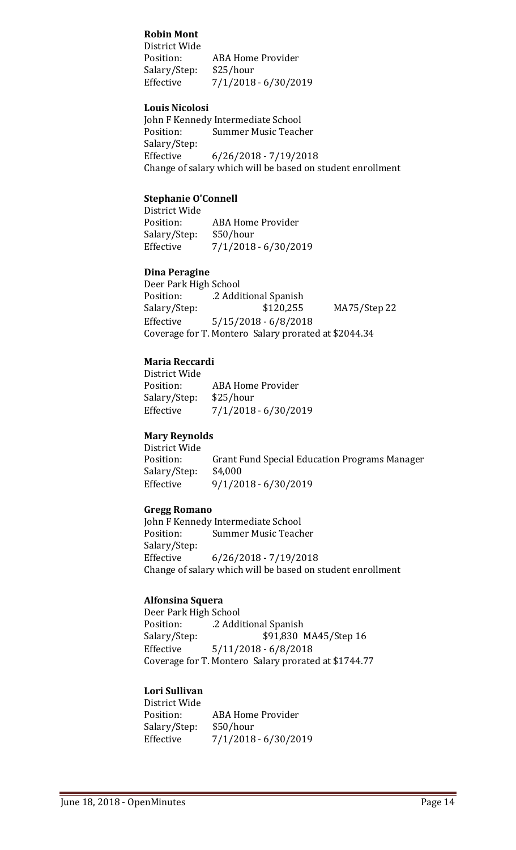#### **Robin Mont**

District Wide **ABA Home Provider** Salary/Step: \$25/hour  $7/1/2018 - 6/30/2019$ 

#### **Louis Nicolosi**

John F Kennedy Intermediate School<br>Position: Summer Music Teach Summer Music Teacher Salary/Step:<br>Effective  $6/26/2018 - 7/19/2018$ Change of salary which will be based on student enrollment

#### **Stephanie O'Connell**

District Wide<br>Position: ABA Home Provider<br>\$50/hour Salary/Step: Effective 7/1/2018 - 6/30/2019

#### **Dina Peragine**

Deer Park High School Position: .2 Additional Spanish<br>Salary/Step: \$120,255 MA75/Step 22 Effective 5/15/2018 - 6/8/2018 Coverage for T. Montero Salary prorated at \$2044.34

#### **Maria Reccardi**

District Wide ABA Home Provider<br>\$25/hour Salary/Step:<br>Effective Effective 7/1/2018 - 6/30/2019

#### **Mary Reynolds**

District Wide<br>Position: Grant Fund Special Education Programs Manager<br>\$4,000 Salary/Step: Effective 9/1/2018 - 6/30/2019

#### **Gregg Romano**

John F Kennedy Intermediate School<br>Position: Summer Music Teach Summer Music Teacher Salary/Step:  $6/26/2018 - 7/19/2018$ Change of salary which will be based on student enrollment

#### **Alfonsina Squera**

Deer Park High School Position: .2 Additional Spanish<br>Salary/Step: \$91,830 1 \$91,830 MA45/Step 16 Effective 5/11/2018 - 6/8/2018 Coverage for T. Montero Salary prorated at \$1744.77

#### **Lori Sullivan** District Wide

| <b>ABA Home Provider</b> |
|--------------------------|
| \$50/hour                |
| $7/1/2018 - 6/30/2019$   |
|                          |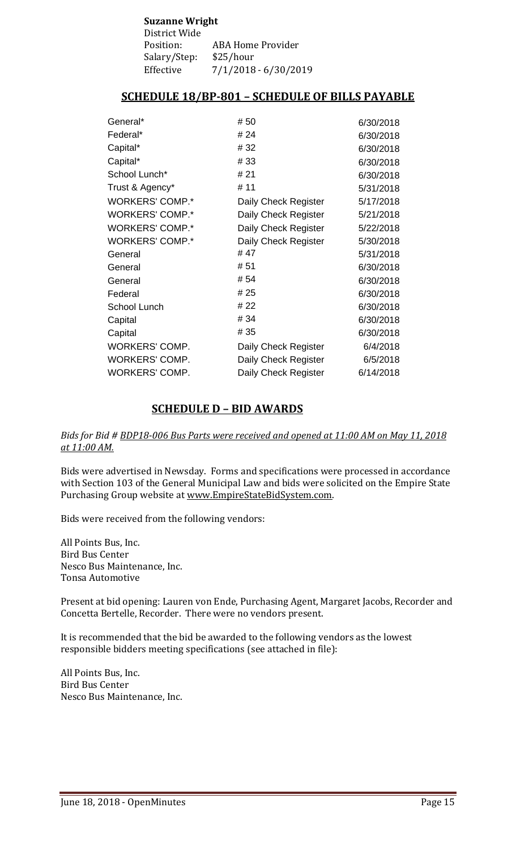| <b>Suzanne Wright</b> |                      |  |
|-----------------------|----------------------|--|
| District Wide         |                      |  |
| Position:             | ABA Home Provider    |  |
| Salary/Step:          | \$25/hour            |  |
| Effective             | 7/1/2018 - 6/30/2019 |  |

# **SCHEDULE 18/BP-801 – SCHEDULE OF BILLS PAYABLE**

| General*        | #50                  | 6/30/2018 |
|-----------------|----------------------|-----------|
| Federal*        | # 24                 | 6/30/2018 |
| Capital*        | #32                  | 6/30/2018 |
| Capital*        | #33                  | 6/30/2018 |
| School Lunch*   | # 21                 | 6/30/2018 |
| Trust & Agency* | # 11                 | 5/31/2018 |
| WORKERS' COMP.* | Daily Check Register | 5/17/2018 |
| WORKERS' COMP.* | Daily Check Register | 5/21/2018 |
| WORKERS' COMP.* | Daily Check Register | 5/22/2018 |
| WORKERS' COMP.* | Daily Check Register | 5/30/2018 |
| General         | #47                  | 5/31/2018 |
| General         | #51                  | 6/30/2018 |
| General         | # 54                 | 6/30/2018 |
| Federal         | # 25                 | 6/30/2018 |
| School Lunch    | # 22                 | 6/30/2018 |
| Capital         | # 34                 | 6/30/2018 |
| Capital         | # 35                 | 6/30/2018 |
| WORKERS' COMP.  | Daily Check Register | 6/4/2018  |
| WORKERS' COMP.  | Daily Check Register | 6/5/2018  |
| WORKERS' COMP.  | Daily Check Register | 6/14/2018 |
|                 |                      |           |

# **SCHEDULE D – BID AWARDS**

#### *Bids for Bid # BDP18-006 Bus Parts were received and opened at 11:00 AM on May 11, 2018 at 11:00 AM.*

Bids were advertised in Newsday. Forms and specifications were processed in accordance with Section 103 of the General Municipal Law and bids were solicited on the Empire State Purchasing Group website at [www.EmpireStateBidSystem.com.](http://www.empirestatebidsystem.com/)

Bids were received from the following vendors:

All Points Bus, Inc. Bird Bus Center Nesco Bus Maintenance, Inc. Tonsa Automotive

Present at bid opening: Lauren von Ende, Purchasing Agent, Margaret Jacobs, Recorder and Concetta Bertelle, Recorder. There were no vendors present.

It is recommended that the bid be awarded to the following vendors as the lowest responsible bidders meeting specifications (see attached in file):

All Points Bus, Inc. Bird Bus Center Nesco Bus Maintenance, Inc.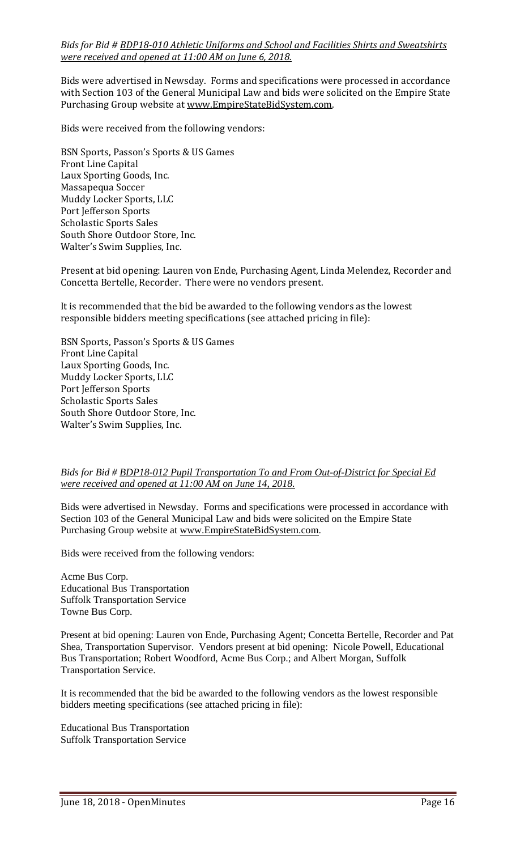*Bids for Bid # BDP18-010 Athletic Uniforms and School and Facilities Shirts and Sweatshirts were received and opened at 11:00 AM on June 6, 2018.*

Bids were advertised in Newsday. Forms and specifications were processed in accordance with Section 103 of the General Municipal Law and bids were solicited on the Empire State Purchasing Group website at [www.EmpireStateBidSystem.com.](http://www.empirestatebidsystem.com/)

Bids were received from the following vendors:

BSN Sports, Passon's Sports & US Games Front Line Capital Laux Sporting Goods, Inc. Massapequa Soccer Muddy Locker Sports, LLC Port Jefferson Sports Scholastic Sports Sales South Shore Outdoor Store, Inc. Walter's Swim Supplies, Inc.

Present at bid opening: Lauren von Ende, Purchasing Agent, Linda Melendez, Recorder and Concetta Bertelle, Recorder. There were no vendors present.

It is recommended that the bid be awarded to the following vendors as the lowest responsible bidders meeting specifications (see attached pricing in file):

BSN Sports, Passon's Sports & US Games Front Line Capital Laux Sporting Goods, Inc. Muddy Locker Sports, LLC Port Jefferson Sports Scholastic Sports Sales South Shore Outdoor Store, Inc. Walter's Swim Supplies, Inc.

#### *Bids for Bid # BDP18-012 Pupil Transportation To and From Out-of-District for Special Ed were received and opened at 11:00 AM on June 14, 2018.*

Bids were advertised in Newsday. Forms and specifications were processed in accordance with Section 103 of the General Municipal Law and bids were solicited on the Empire State Purchasing Group website at [www.EmpireStateBidSystem.com.](http://www.empirestatebidsystem.com/)

Bids were received from the following vendors:

Acme Bus Corp. Educational Bus Transportation Suffolk Transportation Service Towne Bus Corp.

Present at bid opening: Lauren von Ende, Purchasing Agent; Concetta Bertelle, Recorder and Pat Shea, Transportation Supervisor. Vendors present at bid opening: Nicole Powell, Educational Bus Transportation; Robert Woodford, Acme Bus Corp.; and Albert Morgan, Suffolk Transportation Service.

It is recommended that the bid be awarded to the following vendors as the lowest responsible bidders meeting specifications (see attached pricing in file):

Educational Bus Transportation Suffolk Transportation Service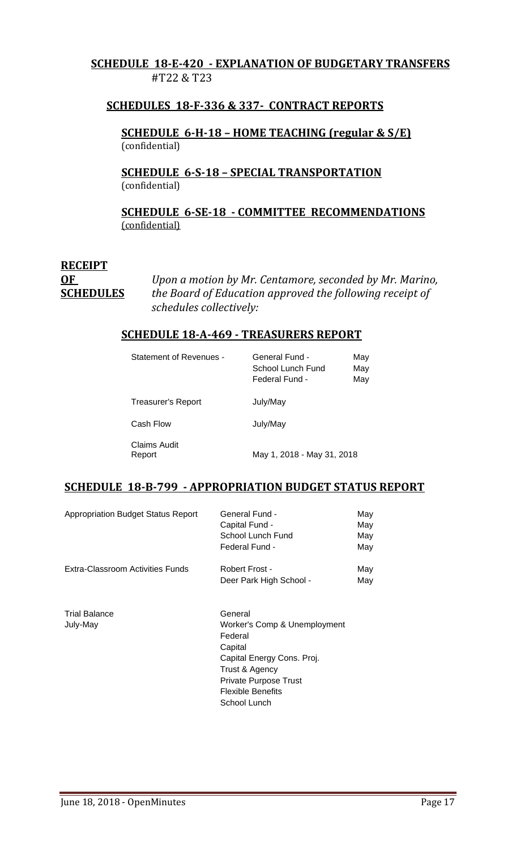# **SCHEDULE 18-E-420 - EXPLANATION OF BUDGETARY TRANSFERS** #T22 & T23

# **SCHEDULES 18-F-336 & 337- CONTRACT REPORTS**

**SCHEDULE 6-H-18 – HOME TEACHING (regular & S/E)**  (confidential)

**SCHEDULE 6-S-18 – SPECIAL TRANSPORTATION**  (confidential)

**SCHEDULE 6-SE-18 - COMMITTEE RECOMMENDATIONS** (confidential)

# **RECEIPT**

**OF** *Upon a motion by Mr. Centamore, seconded by Mr. Marino,*  **SCHEDULES** *the Board of Education approved the following receipt of schedules collectively:*

#### **SCHEDULE 18-A-469 - TREASURERS REPORT**

| <b>Statement of Revenues -</b> | General Fund -<br>School Lunch Fund<br>Federal Fund - | May<br>May<br>May |
|--------------------------------|-------------------------------------------------------|-------------------|
| Treasurer's Report             | July/May                                              |                   |
| Cash Flow                      | July/May                                              |                   |
| Claims Audit<br>Report         | May 1, 2018 - May 31, 2018                            |                   |

# **SCHEDULE 18-B-799 - APPROPRIATION BUDGET STATUS REPORT**

| <b>Appropriation Budget Status Report</b> | General Fund -<br>Capital Fund -<br>School Lunch Fund<br>Federal Fund -                                                                                                                   | May<br>May<br>May<br>May |
|-------------------------------------------|-------------------------------------------------------------------------------------------------------------------------------------------------------------------------------------------|--------------------------|
| Extra-Classroom Activities Funds          | Robert Frost -<br>Deer Park High School -                                                                                                                                                 | May<br>May               |
| <b>Trial Balance</b><br>July-May          | General<br>Worker's Comp & Unemployment<br>Federal<br>Capital<br>Capital Energy Cons. Proj.<br>Trust & Agency<br><b>Private Purpose Trust</b><br><b>Flexible Benefits</b><br>School Lunch |                          |